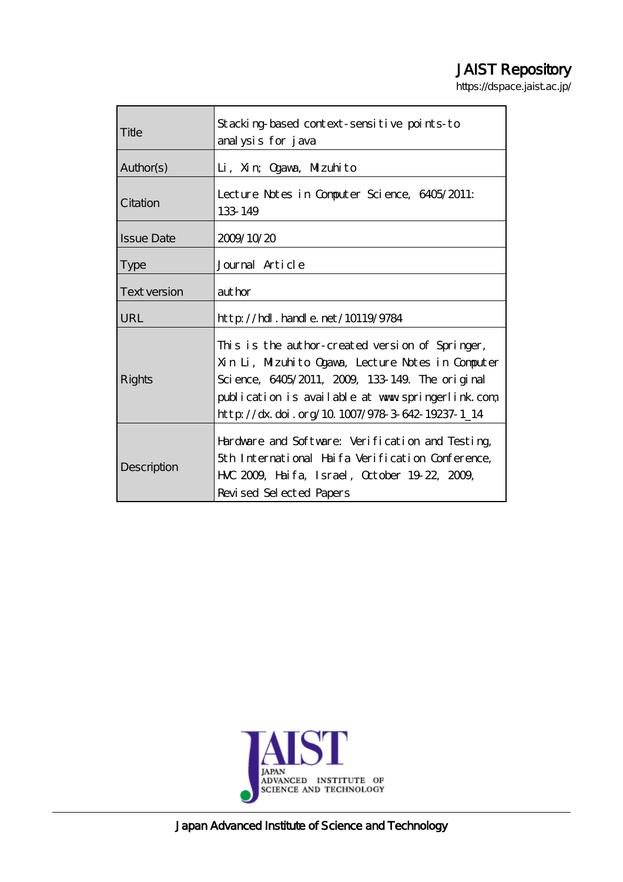# JAIST Repository

https://dspace.jaist.ac.jp/

| Title               | Stacking-based context-sensitive points-to<br>analysis for java                                                                                                                                                                                                |  |  |  |
|---------------------|----------------------------------------------------------------------------------------------------------------------------------------------------------------------------------------------------------------------------------------------------------------|--|--|--|
| Author(s)           | Li, Xin; Ogawa, Muzuhito                                                                                                                                                                                                                                       |  |  |  |
| Citation            | Lecture Notes in Computer Science, 6405/2011:<br>133 149                                                                                                                                                                                                       |  |  |  |
| <b>Issue Date</b>   | 2009/10/20                                                                                                                                                                                                                                                     |  |  |  |
| <b>Type</b>         | Journal Article                                                                                                                                                                                                                                                |  |  |  |
| <b>Text version</b> | author                                                                                                                                                                                                                                                         |  |  |  |
| <b>URL</b>          | http://hdl.handle.net/10119/9784                                                                                                                                                                                                                               |  |  |  |
| Rights              | This is the author-created version of Springer,<br>Xin Li, Muzuhito Ogawa, Lecture Notes in Computer<br>Science, 6405/2011, 2009, 133-149. The original<br>publication is available at www.springerlink.com.<br>http://dx.doi.org/10.1007/978-3-642-19237-1_14 |  |  |  |
| Description         | Hardware and Software: Verification and Testing.<br>5th International Haifa Verification Conference,<br>HC 2009, Haifa, Israel, October 19-22, 2009,<br>Revised Selected Papers                                                                                |  |  |  |



Japan Advanced Institute of Science and Technology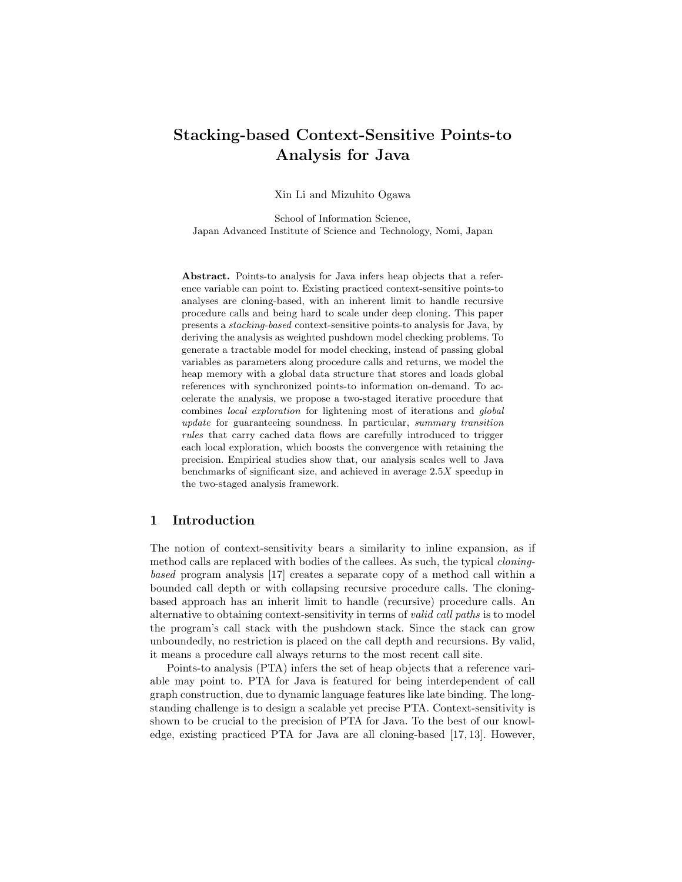# Stacking-based Context-Sensitive Points-to Analysis for Java

Xin Li and Mizuhito Ogawa

School of Information Science, Japan Advanced Institute of Science and Technology, Nomi, Japan

Abstract. Points-to analysis for Java infers heap objects that a reference variable can point to. Existing practiced context-sensitive points-to analyses are cloning-based, with an inherent limit to handle recursive procedure calls and being hard to scale under deep cloning. This paper presents a stacking-based context-sensitive points-to analysis for Java, by deriving the analysis as weighted pushdown model checking problems. To generate a tractable model for model checking, instead of passing global variables as parameters along procedure calls and returns, we model the heap memory with a global data structure that stores and loads global references with synchronized points-to information on-demand. To accelerate the analysis, we propose a two-staged iterative procedure that combines local exploration for lightening most of iterations and global update for guaranteeing soundness. In particular, summary transition rules that carry cached data flows are carefully introduced to trigger each local exploration, which boosts the convergence with retaining the precision. Empirical studies show that, our analysis scales well to Java benchmarks of significant size, and achieved in average  $2.5X$  speedup in the two-staged analysis framework.

# 1 Introduction

The notion of context-sensitivity bears a similarity to inline expansion, as if method calls are replaced with bodies of the callees. As such, the typical cloningbased program analysis [17] creates a separate copy of a method call within a bounded call depth or with collapsing recursive procedure calls. The cloningbased approach has an inherit limit to handle (recursive) procedure calls. An alternative to obtaining context-sensitivity in terms of valid call paths is to model the program's call stack with the pushdown stack. Since the stack can grow unboundedly, no restriction is placed on the call depth and recursions. By valid, it means a procedure call always returns to the most recent call site.

Points-to analysis (PTA) infers the set of heap objects that a reference variable may point to. PTA for Java is featured for being interdependent of call graph construction, due to dynamic language features like late binding. The longstanding challenge is to design a scalable yet precise PTA. Context-sensitivity is shown to be crucial to the precision of PTA for Java. To the best of our knowledge, existing practiced PTA for Java are all cloning-based [17, 13]. However,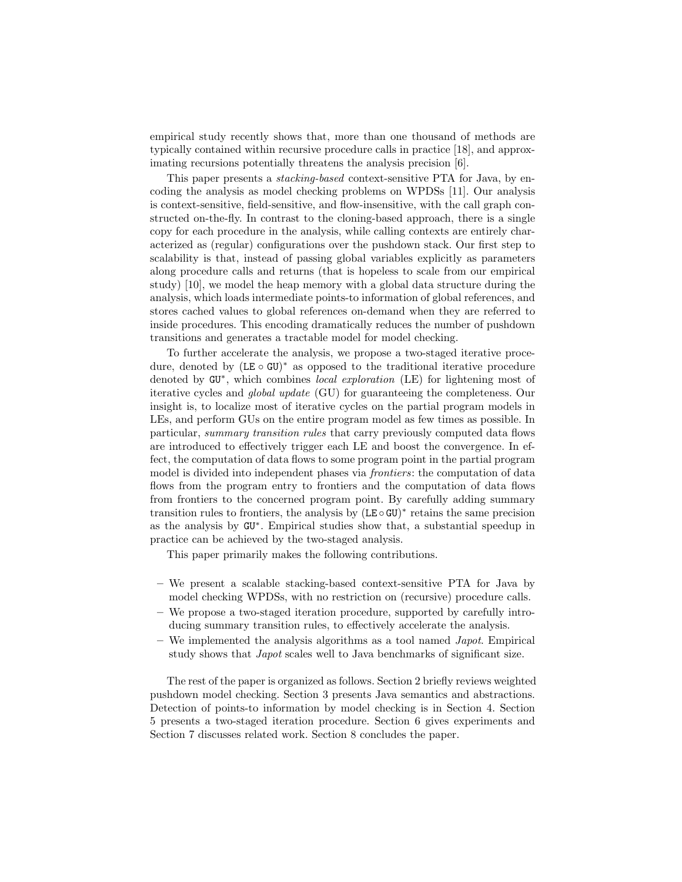empirical study recently shows that, more than one thousand of methods are typically contained within recursive procedure calls in practice [18], and approximating recursions potentially threatens the analysis precision [6].

This paper presents a stacking-based context-sensitive PTA for Java, by encoding the analysis as model checking problems on WPDSs [11]. Our analysis is context-sensitive, field-sensitive, and flow-insensitive, with the call graph constructed on-the-fly. In contrast to the cloning-based approach, there is a single copy for each procedure in the analysis, while calling contexts are entirely characterized as (regular) configurations over the pushdown stack. Our first step to scalability is that, instead of passing global variables explicitly as parameters along procedure calls and returns (that is hopeless to scale from our empirical study) [10], we model the heap memory with a global data structure during the analysis, which loads intermediate points-to information of global references, and stores cached values to global references on-demand when they are referred to inside procedures. This encoding dramatically reduces the number of pushdown transitions and generates a tractable model for model checking.

To further accelerate the analysis, we propose a two-staged iterative procedure, denoted by  $(LE \circ GU)^*$  as opposed to the traditional iterative procedure denoted by GU<sup>\*</sup>, which combines *local exploration* (LE) for lightening most of iterative cycles and global update (GU) for guaranteeing the completeness. Our insight is, to localize most of iterative cycles on the partial program models in LEs, and perform GUs on the entire program model as few times as possible. In particular, summary transition rules that carry previously computed data flows are introduced to effectively trigger each LE and boost the convergence. In effect, the computation of data flows to some program point in the partial program model is divided into independent phases via frontiers: the computation of data flows from the program entry to frontiers and the computation of data flows from frontiers to the concerned program point. By carefully adding summary transition rules to frontiers, the analysis by  $(LE \circ GU)^*$  retains the same precision as the analysis by GU<sup>∗</sup> . Empirical studies show that, a substantial speedup in practice can be achieved by the two-staged analysis.

This paper primarily makes the following contributions.

- We present a scalable stacking-based context-sensitive PTA for Java by model checking WPDSs, with no restriction on (recursive) procedure calls.
- We propose a two-staged iteration procedure, supported by carefully introducing summary transition rules, to effectively accelerate the analysis.
- $-$  We implemented the analysis algorithms as a tool named *Japot*. Empirical study shows that Japot scales well to Java benchmarks of significant size.

The rest of the paper is organized as follows. Section 2 briefly reviews weighted pushdown model checking. Section 3 presents Java semantics and abstractions. Detection of points-to information by model checking is in Section 4. Section 5 presents a two-staged iteration procedure. Section 6 gives experiments and Section 7 discusses related work. Section 8 concludes the paper.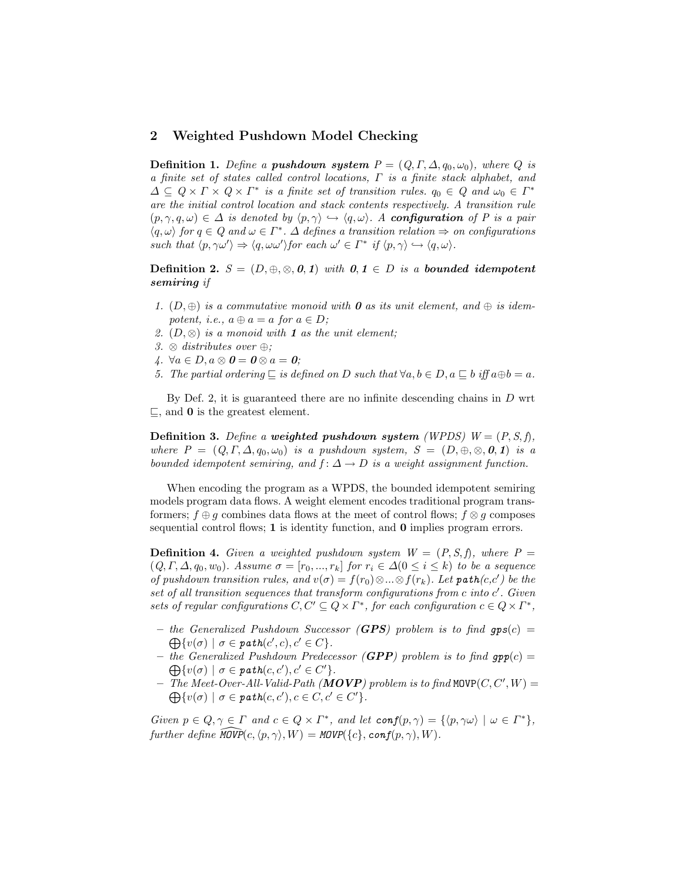# 2 Weighted Pushdown Model Checking

**Definition 1.** Define a **pushdown system**  $P = (Q, \Gamma, \Delta, q_0, \omega_0)$ , where Q is a finite set of states called control locations, Γ is a finite stack alphabet, and  $\Delta \subseteq Q \times \Gamma \times Q \times \Gamma^*$  is a finite set of transition rules.  $q_0 \in Q$  and  $\omega_0 \in \Gamma^*$ are the initial control location and stack contents respectively. A transition rule  $(p, \gamma, q, \omega) \in \Delta$  is denoted by  $\langle p, \gamma \rangle \hookrightarrow \langle q, \omega \rangle$ . A **configuration** of P is a pair  $\langle q, \omega \rangle$  for  $q \in Q$  and  $\omega \in \Gamma^*$ .  $\Delta$  defines a transition relation  $\Rightarrow$  on configurations such that  $\langle p, \gamma \omega' \rangle \Rightarrow \langle q, \omega \omega' \rangle$  for each  $\omega' \in \Gamma^*$  if  $\langle p, \gamma \rangle \hookrightarrow \langle q, \omega \rangle$ .

**Definition 2.**  $S = (D, \oplus, \otimes, 0, 1)$  with  $0, 1 \in D$  is a bounded idempotent semiring if

- 1.  $(D, \oplus)$  is a commutative monoid with **0** as its unit element, and  $\oplus$  is idempotent, i.e.,  $a \oplus a = a$  for  $a \in D$ ;
- 2.  $(D, \otimes)$  is a monoid with 1 as the unit element;
- 3. ⊗ distributes over ⊕;
- $\downarrow$ .  $\forall a \in D, a \otimes \mathbf{0} = \mathbf{0} \otimes a = \mathbf{0}$ ;
- 5. The partial ordering  $\sqsubseteq$  is defined on D such that  $\forall a, b \in D, a \sqsubseteq b$  iff  $a \oplus b = a$ .

By Def. 2, it is guaranteed there are no infinite descending chains in  $D$  wrt  $\Box$ , and **0** is the greatest element.

**Definition 3.** Define a weighted pushdown system (WPDS)  $W = (P, S, f)$ , where  $P = (Q, \Gamma, \Delta, q_0, \omega_0)$  is a pushdown system,  $S = (D, \oplus, \otimes, \mathbf{0}, \mathbf{1})$  is a bounded idempotent semiring, and  $f: \Delta \to D$  is a weight assignment function.

When encoding the program as a WPDS, the bounded idempotent semiring models program data flows. A weight element encodes traditional program transformers;  $f \oplus g$  combines data flows at the meet of control flows;  $f \otimes g$  composes sequential control flows; 1 is identity function, and 0 implies program errors.

**Definition 4.** Given a weighted pushdown system  $W = (P, S, f)$ , where  $P =$  $(Q, \Gamma, \Delta, q_0, w_0)$ . Assume  $\sigma = [r_0, ..., r_k]$  for  $r_i \in \Delta(0 \le i \le k)$  to be a sequence of pushdown transition rules, and  $v(\sigma) = f(r_0) \otimes ... \otimes f(r_k)$ . Let  $path(c, c')$  be the set of all transition sequences that transform configurations from  $c$  into  $c'$ . Given sets of regular configurations  $C, C' \subseteq Q \times \Gamma^*$ , for each configuration  $c \in Q \times \Gamma^*$ ,

- $-$  the Generalized Pushdown Successor (GPS) problem is to find  $qps(c)$  =  $\bigoplus \{v(\sigma) \mid \sigma \in \mathit{path}(c',c), c' \in C\}.$
- the Generalized Pushdown Predecessor (GPP) problem is to find  $gpp(c)$  =  $\bigoplus \{v(\sigma) \mid \sigma \in \mathit{path}(c,c'), c' \in C'\}.$
- The Meet-Over-All-Valid-Path ( $\boldsymbol{M}\boldsymbol{O}\boldsymbol{V}\boldsymbol{P}$ ) problem is to find  $\boldsymbol{M}\boldsymbol{O}\boldsymbol{V}\boldsymbol{P}$ (C, C', W) =  $\bigoplus \{v(\sigma) \mid \sigma \in \mathit{path}(c,c'), c \in C, c' \in C'\}.$

Given  $p \in Q, \gamma \in \Gamma$  and  $c \in Q \times \Gamma^*$ , and let  $\text{conf}(p, \gamma) = \{ \langle p, \gamma \omega \rangle \mid \omega \in \Gamma^* \},\$ further define  $\widehat{MOP}(c, \langle p, \gamma \rangle, W) = MOP(\{c\}, conf(p, \gamma), W).$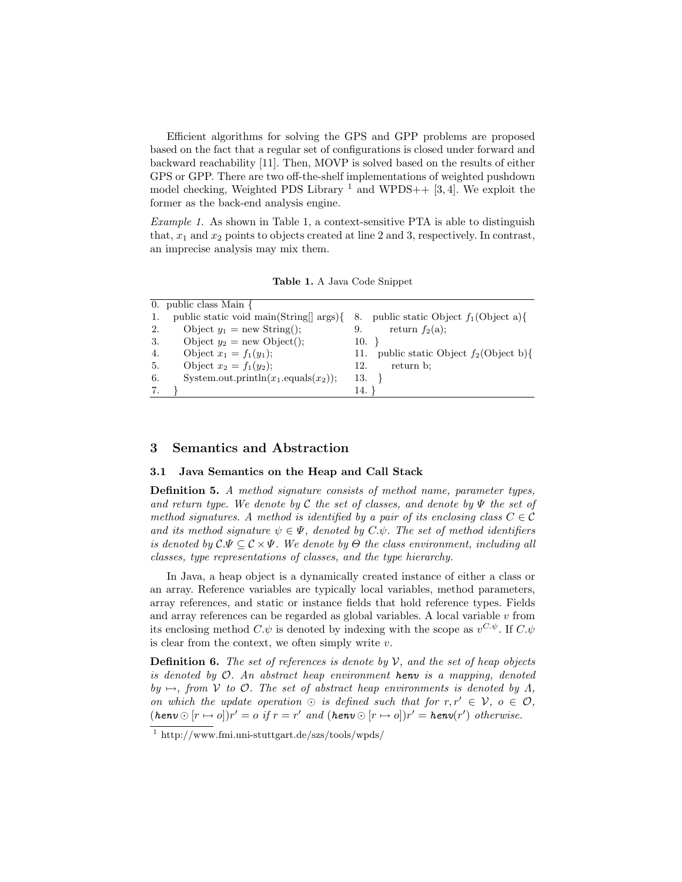Efficient algorithms for solving the GPS and GPP problems are proposed based on the fact that a regular set of configurations is closed under forward and backward reachability [11]. Then, MOVP is solved based on the results of either GPS or GPP. There are two off-the-shelf implementations of weighted pushdown model checking, Weighted PDS Library  $^1$  and WPDS++ [3, 4]. We exploit the former as the back-end analysis engine.

Example 1. As shown in Table 1, a context-sensitive PTA is able to distinguish that,  $x_1$  and  $x_2$  points to objects created at line 2 and 3, respectively. In contrast, an imprecise analysis may mix them.

Table 1. A Java Code Snippet

| 1. | public static void main $\text{String}$ args $\}$ | 8. public static Object $f_1$ (Object a) {        |
|----|---------------------------------------------------|---------------------------------------------------|
| 2. | Object $y_1 = new String()$ ;                     | return $f_2(a)$ ;<br>9.                           |
| 3. | Object $y_2$ = new Object();                      | $10. \; \; \cdot$                                 |
| 4. | Object $x_1 = f_1(y_1)$ ;                         | public static Object $f_2$ (Object b) $\{$<br>11. |
| 5. | Object $x_2 = f_1(y_2)$ ;                         | return b;<br>12.                                  |
| 6. | System.out.println $(x_1.\text{equals}(x_2))$ ;   | 13.                                               |
|    |                                                   | 14.                                               |

# 3 Semantics and Abstraction

#### 3.1 Java Semantics on the Heap and Call Stack

Definition 5. A method signature consists of method name, parameter types, and return type. We denote by C the set of classes, and denote by  $\Psi$  the set of method signatures. A method is identified by a pair of its enclosing class  $C \in \mathcal{C}$ and its method signature  $\psi \in \Psi$ , denoted by C. $\psi$ . The set of method identifiers is denoted by  $\mathcal{C}.\Psi \subseteq \mathcal{C} \times \Psi$ . We denote by  $\Theta$  the class environment, including all classes, type representations of classes, and the type hierarchy.

In Java, a heap object is a dynamically created instance of either a class or an array. Reference variables are typically local variables, method parameters, array references, and static or instance fields that hold reference types. Fields and array references can be regarded as global variables. A local variable  $v$  from its enclosing method  $C.\psi$  is denoted by indexing with the scope as  $v^{C.\psi}$ . If  $C.\psi$ is clear from the context, we often simply write  $v$ .

**Definition 6.** The set of references is denote by  $V$ , and the set of heap objects is denoted by  $\mathcal{O}$ . An abstract heap environment henv is a mapping, denoted by  $\mapsto$ , from V to O. The set of abstract heap environments is denoted by Λ, on which the update operation  $\odot$  is defined such that for  $r, r' \in V$ ,  $o \in \mathcal{O}$ ,  $(\mathit{henv} \odot [r \mapsto o])r' = o \ \mathit{if} \ r = r' \ \mathit{and} \ (\mathit{henv} \odot [r \mapsto o])r' = \mathit{henv}(r') \ \mathit{otherwise}.$ 

<sup>1</sup> http://www.fmi.uni-stuttgart.de/szs/tools/wpds/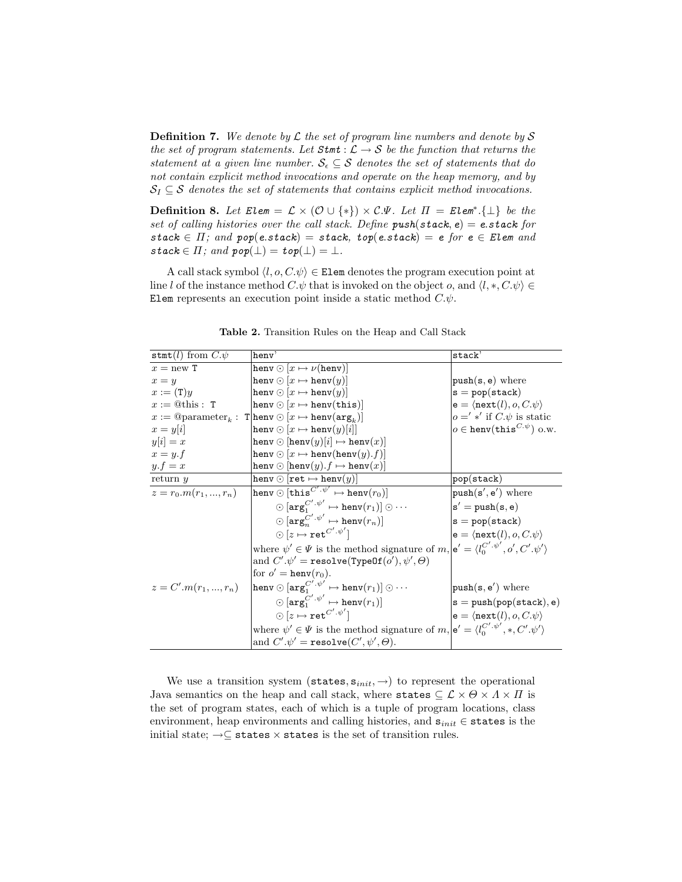**Definition 7.** We denote by  $\mathcal L$  the set of program line numbers and denote by  $\mathcal S$ the set of program statements. Let  $\texttt{Stmt} : \mathcal{L} \to \mathcal{S}$  be the function that returns the statement at a given line number.  $S_{\epsilon} \subseteq S$  denotes the set of statements that do not contain explicit method invocations and operate on the heap memory, and by  $S_I \subseteq S$  denotes the set of statements that contains explicit method invocations.

**Definition 8.** Let  $Elem = \mathcal{L} \times (\mathcal{O} \cup \{*\}) \times \mathcal{C}.\Psi$ . Let  $\Pi = Elem^*.\{\bot\}$  be the set of calling histories over the call stack. Define  $push(\text{stack}, e) = \text{e}.\text{stack}$  for stack  $\in \Pi$ ; and pop(e.stack) = stack, top(e.stack) = e for  $e \in E$ lem and stack  $\in \Pi$ ; and  $pop(\bot) = top(\bot) = \bot$ .

A call stack symbol  $\langle l, o, C.\psi \rangle \in \text{Element}$  denotes the program execution point at line l of the instance method  $C.\psi$  that is invoked on the object  $o$ , and  $\langle l, *, C.\psi \rangle \in$ Elem represents an execution point inside a static method  $C.\psi$ .

| stmt(l) from $C.\psi$           | henv'                                                                                                                  | stack'                                            |
|---------------------------------|------------------------------------------------------------------------------------------------------------------------|---------------------------------------------------|
| $x = new T$                     | henv $\odot$ $[x \mapsto \nu(\text{henv})]$                                                                            |                                                   |
| $x = y$                         | henv $\odot$ $[x \mapsto \text{henv}(y)]$                                                                              | $push(s, e)$ where                                |
| $x := (T)y$                     | henv $\odot$ $[x \mapsto \text{henv}(y)]$                                                                              | $s = pop(state)$                                  |
| $x := \textcircled{a}$ this : T | $\vert$ henv $\odot$ $\vert x \mapsto$ henv(this)]                                                                     | $e = \langle \texttt{next}(l), o, C.\psi \rangle$ |
|                                 | $x := \mathcal{Q}$ parameter $_k : T$ henv $\odot$ $[x \mapsto \text{henv}(\text{arg}_k)]$                             | $o =' *'$ if $C.\psi$ is static                   |
| $x=y i $                        | henv $\odot$ $[x \mapsto \text{henv}(y)[i]]$                                                                           | $o \in \text{henv}(\text{this}^{C,\psi})$ o.w.    |
| $y[i] = x$                      | henv $\odot$ [henv $(y)[i] \mapsto$ henv $(x)]$                                                                        |                                                   |
| $x=y.f$                         | henv $\odot$ $[x \mapsto \text{henv}(\text{henv}(y).f)]$                                                               |                                                   |
| $y.f = x$                       | henv $\odot$ [henv $(y).f \mapsto$ henv $(x)$ ]                                                                        |                                                   |
| return $y$                      | henv $\odot$ [ret $\mapsto$ henv $(y)$ ]                                                                               | pop(state)                                        |
| $z = r_0.m(r_1, , r_n)$         | $\boxed{\mathtt{henv} \odot \left[\mathtt{this}^{C^\prime \cdot \psi^\prime}\mapsto \mathtt{henv}(r_0)\right]}$        | $push(s', e')$ where                              |
|                                 | $\text{C}[\arg_1^{C',\psi'} \mapsto \text{henv}(r_1)] \text{O} \cdots$                                                 | $s' = push(s, e)$                                 |
|                                 | $\odot$ [arg <sup>C', <math>\psi'</math></sup> $\mapsto$ henv $(r_n)$ ]                                                | $s = pop(state)$                                  |
|                                 | $\odot$ $[z \mapsto \texttt{ret}^{C',\psi'}]$                                                                          | $e = \langle \text{next}(l), o, C.\psi \rangle$   |
|                                 | where $\psi' \in \Psi$ is the method signature of $m,  \mathbf{e}' = \langle l_0^{C', \psi'}, o', C', \psi' \rangle$   |                                                   |
|                                 | and $C'.\psi' = \texttt{resolve}(\texttt{TypeOf}(o'), \psi', \Theta)$                                                  |                                                   |
|                                 | for $o' = \text{henv}(r_0)$ .                                                                                          |                                                   |
| $z = C'.m(r_1, , r_n)$          | $\big \text{henv}\odot [\text{arg}_1^{C^\prime\cdot\psi^\prime}\mapsto \text{henv}(r_1)]\odot\cdots$                   | $push(s, e')$ where                               |
|                                 | $\odot$ [arg <sub>1</sub> <sup>C'</sup> · <sup><math>\psi'</math></sup> $\mapsto$ henv $(r_1)$ ]                       | $s = push(pop(state), e)$                         |
|                                 | $\odot$ $[z \mapsto \text{ret}^{C',\psi'}]$                                                                            | $e = \langle \texttt{next}(l), o, C.\psi \rangle$ |
|                                 | where $\psi' \in \Psi$ is the method signature of $m,  \mathbf{e}' = \langle l_0^{C', \psi'}, \ast, C', \psi' \rangle$ |                                                   |
|                                 | and $C'.\psi' = \texttt{resolve}(C', \psi', \Theta).$                                                                  |                                                   |

Table 2. Transition Rules on the Heap and Call Stack

We use a transition system (states,  $s_{init}$ ,  $\rightarrow$ ) to represent the operational Java semantics on the heap and call stack, where states  $\subseteq L \times \Theta \times \Lambda \times \Pi$  is the set of program states, each of which is a tuple of program locations, class environment, heap environments and calling histories, and  $s_{init} \in$  states is the initial state;  $\rightarrow \subseteq$  states  $\times$  states is the set of transition rules.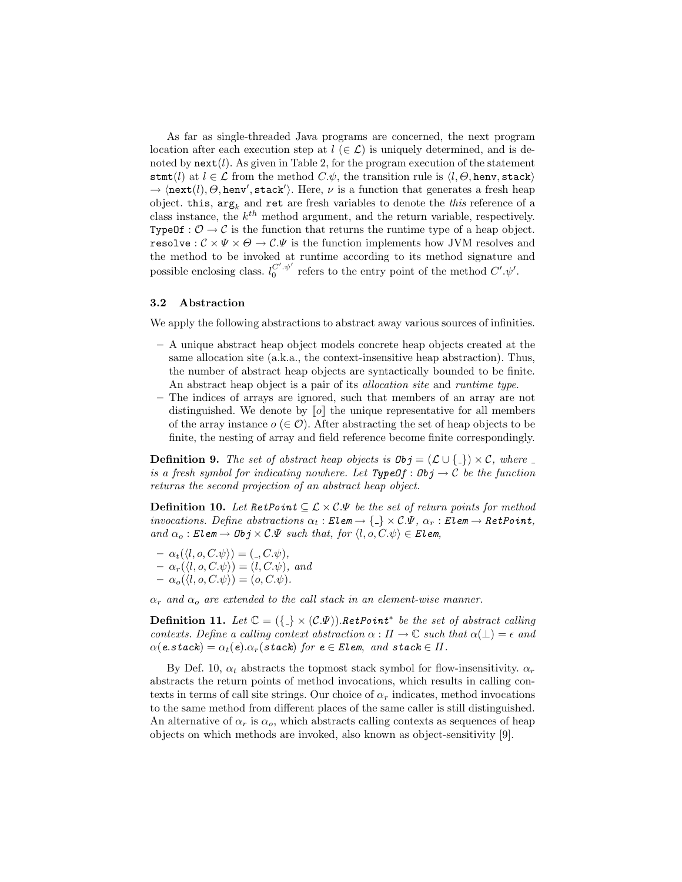As far as single-threaded Java programs are concerned, the next program location after each execution step at  $l \in \mathcal{L}$  is uniquely determined, and is denoted by  $\texttt{next}(l)$ . As given in Table 2, for the program execution of the statement stmt(l) at  $l \in \mathcal{L}$  from the method  $C.\psi$ , the transition rule is  $\langle l, \Theta \rangle$ , henv, stack)  $\rightarrow \langle \texttt{next}(l), \Theta, \texttt{henv}', \texttt{stack}' \rangle$ . Here,  $\nu$  is a function that generates a fresh heap object. this,  $\arg_k$  and ret are fresh variables to denote the *this* reference of a class instance, the  $k^{th}$  method argument, and the return variable, respectively. TypeOf:  $\mathcal{O} \to \mathcal{C}$  is the function that returns the runtime type of a heap object. **resolve** :  $C \times \Psi \times \Theta \to C.\Psi$  is the function implements how JVM resolves and the method to be invoked at runtime according to its method signature and possible enclosing class.  $l_0^{C',\psi'}$  refers to the entry point of the method  $C',\psi'.$ 

#### 3.2 Abstraction

We apply the following abstractions to abstract away various sources of infinities.

- A unique abstract heap object models concrete heap objects created at the same allocation site (a.k.a., the context-insensitive heap abstraction). Thus, the number of abstract heap objects are syntactically bounded to be finite. An abstract heap object is a pair of its *allocation site* and *runtime type*.
- The indices of arrays are ignored, such that members of an array are not distinguished. We denote by  $\llbracket o \rrbracket$  the unique representative for all members of the array instance  $o \in \mathcal{O}$ . After abstracting the set of heap objects to be finite, the nesting of array and field reference become finite correspondingly.

**Definition 9.** The set of abstract heap objects is  $\mathcal{O}b\mathbf{i} = (\mathcal{L} \cup \{\_ \}) \times \mathcal{C}$ , where is a fresh symbol for indicating nowhere. Let  $TypeOf: Ob \to \mathcal{C}$  be the function returns the second projection of an abstract heap object.

**Definition 10.** Let  $\text{RetPoint} \subseteq \mathcal{L} \times \mathcal{C} \Psi$  be the set of return points for method invocations. Define abstractions  $\alpha_t : \text{Elem} \to \{-\} \times \mathcal{C}.\Psi$ ,  $\alpha_r : \text{Elem} \to \text{RetPoint}$ , and  $\alpha_o : \text{Element} \rightarrow \text{Obj} \times \text{C}.\Psi$  such that, for  $\langle l, o, C.\psi \rangle \in \text{Element}$ ,

- $\alpha_t(\langle l, o, C.\psi \rangle) = (0, C.\psi),$
- $\alpha_r(\langle l, o, C.\psi \rangle) = (l, C.\psi), \text{ and}$
- $\alpha_o(\langle l, o, C.\psi \rangle) = (o, C.\psi).$

 $\alpha_r$  and  $\alpha_o$  are extended to the call stack in an element-wise manner.

**Definition 11.** Let  $\mathbb{C} = (\{\_ \} \times (\mathcal{C}.\Psi))$ . RetPoint<sup>\*</sup> be the set of abstract calling contexts. Define a calling context abstraction  $\alpha : \Pi \to \mathbb{C}$  such that  $\alpha(\bot) = \epsilon$  and  $\alpha$ (e.stack) =  $\alpha_t$ (e). $\alpha_r$ (stack) for e  $\in$  Elem, and stack  $\in \Pi$ .

By Def. 10,  $\alpha_t$  abstracts the topmost stack symbol for flow-insensitivity.  $\alpha_r$ abstracts the return points of method invocations, which results in calling contexts in terms of call site strings. Our choice of  $\alpha_r$  indicates, method invocations to the same method from different places of the same caller is still distinguished. An alternative of  $\alpha_r$  is  $\alpha_o$ , which abstracts calling contexts as sequences of heap objects on which methods are invoked, also known as object-sensitivity [9].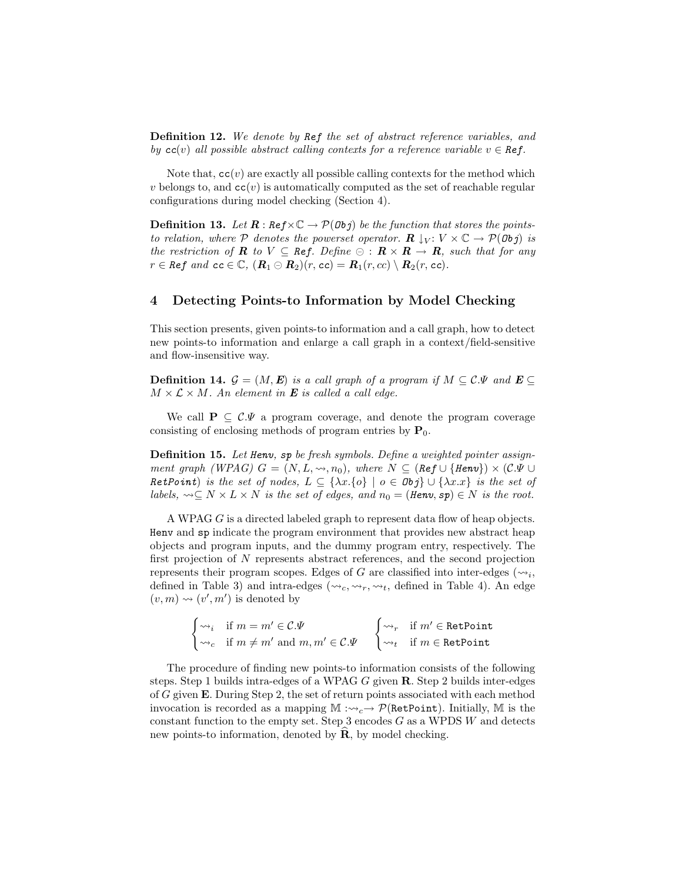**Definition 12.** We denote by Ref the set of abstract reference variables, and by  $cc(v)$  all possible abstract calling contexts for a reference variable  $v \in \text{Ref.}$ 

Note that,  $cc(v)$  are exactly all possible calling contexts for the method which v belongs to, and  $cc(v)$  is automatically computed as the set of reachable regular configurations during model checking (Section 4).

**Definition 13.** Let  $\mathbf{R} : \text{Re} f \times \mathbb{C} \rightarrow \mathcal{P}(\mathbb{O} \text{b} \text{ j})$  be the function that stores the pointsto relation, where P denotes the powerset operator.  $\mathbf{R} \downarrow_V : V \times \mathbb{C} \to \mathcal{P}(\mathbf{Ob} \mathbf{i})$  is the restriction of **R** to  $V \subseteq$  **Ref.** Define  $\ominus : \mathbf{R} \times \mathbf{R} \to \mathbf{R}$ , such that for any  $r \in \text{Ref and } cc \in \mathbb{C}, (\mathbf{R}_1 \odot \mathbf{R}_2)(r, cc) = \mathbf{R}_1(r, cc) \setminus \mathbf{R}_2(r, cc).$ 

# 4 Detecting Points-to Information by Model Checking

This section presents, given points-to information and a call graph, how to detect new points-to information and enlarge a call graph in a context/field-sensitive and flow-insensitive way.

**Definition 14.**  $\mathcal{G} = (M, E)$  is a call graph of a program if  $M \subseteq \mathcal{C}.\Psi$  and  $E \subseteq$  $M \times \mathcal{L} \times M$ . An element in **E** is called a call edge.

We call  $P \subseteq C.\Psi$  a program coverage, and denote the program coverage consisting of enclosing methods of program entries by  $P_0$ .

Definition 15. Let Henv, sp be fresh symbols. Define a weighted pointer assignment graph (WPAG)  $G = (N, L, \leadsto, n_0)$ , where  $N \subseteq (\text{Ref} \cup {\text{Henv}}) \times (\mathcal{C} \Psi \cup$ RetPoint) is the set of nodes,  $L \subseteq {\lambda x.\{o\} \mid o \in \mathcal{O}bj} \cup {\lambda x.x}$  is the set of labels,  $\leadsto \subseteq N \times L \times N$  is the set of edges, and  $n_0 = ($ **Henv**,  $sp) \in N$  is the root.

A WPAG G is a directed labeled graph to represent data flow of heap objects. Henv and sp indicate the program environment that provides new abstract heap objects and program inputs, and the dummy program entry, respectively. The first projection of N represents abstract references, and the second projection represents their program scopes. Edges of G are classified into inter-edges  $(\leadsto_i,$ defined in Table 3) and intra-edges  $(\leadsto_c, \leadsto_r, \leadsto_t,$  defined in Table 4). An edge  $(v, m) \rightsquigarrow (v', m')$  is denoted by

> $\begin{cases} \n\leadsto_i & \text{if } m = m' \in \mathcal{C}.\Psi \\ \n\leadsto_c & \text{if } m \neq m' \text{ and } m, m' \in \mathcal{C}.\Psi \n\end{cases}\n\begin{cases} \n\leadsto_r & \text{if } m' \in \text{RetPoint} \\ \n\leadsto_t & \text{if } m \in \text{RetPoint} \n\end{cases}$  $\rightsquigarrow_t$  if  $m \in \texttt{RetPoint}$

The procedure of finding new points-to information consists of the following steps. Step 1 builds intra-edges of a WPAG G given R. Step 2 builds inter-edges of G given E. During Step 2, the set of return points associated with each method invocation is recorded as a mapping  $\mathbb{M}$  : $\rightsquigarrow_c \rightarrow \mathcal{P}(\text{RetPoint})$ . Initially,  $\mathbb M$  is the constant function to the empty set. Step 3 encodes  $G$  as a WPDS  $W$  and detects new points-to information, denoted by  $\mathbf{R}$ , by model checking.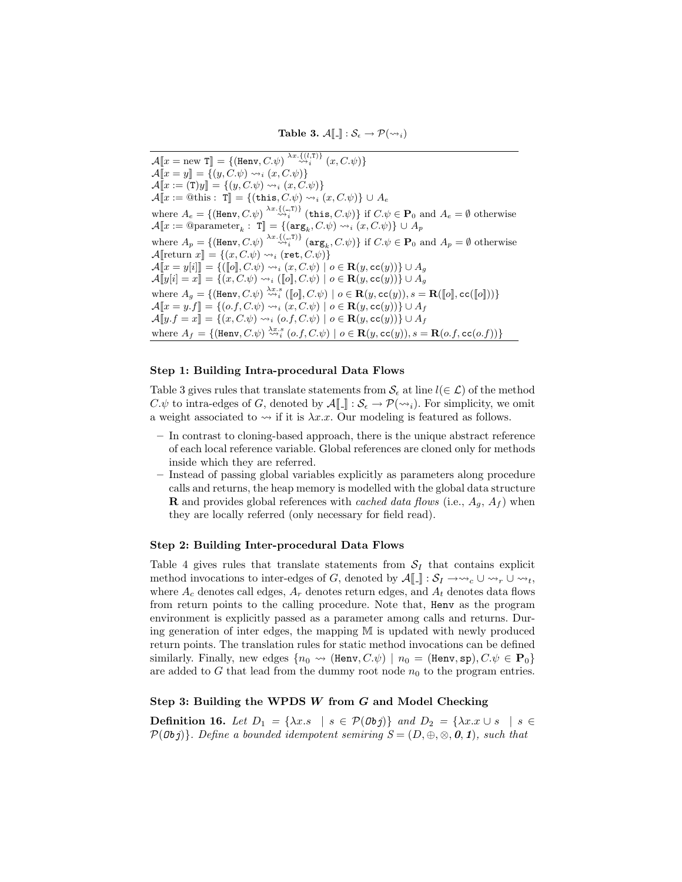$\mathcal{A}[\![x=\text{new T}]\!] = \{(\text{Henv},C.\psi) \stackrel{\lambda x. \{\{l, T\}\}}{\leadsto_i} (x,C.\psi)\}$  $\mathcal{A}[\![x = y]\!] = \{(y, C.\psi) \rightsquigarrow_i (x, C.\psi)\}$  $\mathcal{A}[\![x := (\mathsf{T})y]\!] = \{(y, C.\psi) \rightsquigarrow_i (x, C.\psi)\}$  $\mathcal{A}[\![x := \text{@this} : \mathbf{T}]\!] = \{(\text{this}, C.\psi) \leadsto_i (x, C.\psi)\} \cup A_e$ where  $A_e = \{(\text{Henry, } C.\psi) \xrightarrow{\lambda x. \{(-,T)\}} (\text{this}, C.\psi) \}$  if  $C.\psi \in \mathbf{P}_0$  and  $A_e = \emptyset$  otherwise  $\mathcal{A}[\![x := \mathbb{Q}]\text{parameter}_k: \ \mathbf{T}]\!] = \{(\mathbf{arg}_k, C.\psi) \leadsto i(x, C.\psi)\} \cup A_p$ where  $A_p = \{(\text{Henry, } C.\psi) \xrightarrow{\lambda x.\{(.,\mathsf{T})\}} (\text{arg}_k, C.\psi) \}$  if  $C.\psi \in \mathbf{P}_0$  and  $A_p = \emptyset$  otherwise A[[return  $x$ ] = { $(x, C.\psi) \rightsquigarrow_i (\text{ret}, C.\psi)$ }  $\mathcal{A}[\![x = y[i]]\!] = \{([\![o]\!], C.\psi) \leadsto_i (x, C.\psi) \mid o \in \mathbf{R}(y, \mathsf{cc}(y))\} \cup A_g$  $\mathcal{A}\llbracket y[i] = x \rrbracket = \{(x, C.\psi) \leadsto_i ([\![o]\!], C.\psi) \mid o \in \mathbf{R}(y, \mathsf{cc}(y))\} \cup A_g$ where  $A_g = \{(\text{Henv}, C.\psi) \stackrel{\lambda x.s}{\leadsto i} ([0], C.\psi) \mid o \in \mathbf{R}(y, \text{cc}(y)), s = \mathbf{R}([0], \text{cc}([0]))\}$  $\mathcal{A}\llbracket x = y.f \rrbracket = \{ (o.f, C.\psi) \leadsto_i (x, C.\psi) \mid o \in \mathbf{R}(y, \mathsf{cc}(y)) \} \cup A_f$  $\mathcal{A}[\![y.f = x]\!] = \{(x, C.\psi) \leadsto_i (o.f, C.\psi) \mid o \in \mathbf{R}(y, \mathsf{cc}(y))\} \cup A_f$ where  $A_f = \{(\text{Henry, } C.\psi) \stackrel{\lambda x.s}{\leadsto i} (o.f, C.\psi) \mid o \in \mathbf{R}(y, \text{cc}(y)), s = \mathbf{R}(o.f, \text{cc}(o.f))\}$ 

#### Step 1: Building Intra-procedural Data Flows

Table 3 gives rules that translate statements from  $\mathcal{S}_{\epsilon}$  at line  $l(\in \mathcal{L})$  of the method  $C.\psi$  to intra-edges of G, denoted by  $\mathcal{A}[\mathcal{L}] : \mathcal{S}_{\epsilon} \to \mathcal{P}(\rightsquigarrow_i)$ . For simplicity, we omit a weight associated to  $\rightsquigarrow$  if it is  $\lambda x.x$ . Our modeling is featured as follows.

- In contrast to cloning-based approach, there is the unique abstract reference of each local reference variable. Global references are cloned only for methods inside which they are referred.
- Instead of passing global variables explicitly as parameters along procedure calls and returns, the heap memory is modelled with the global data structure **R** and provides global references with *cached data flows* (i.e.,  $A_q$ ,  $A_f$ ) when they are locally referred (only necessary for field read).

#### Step 2: Building Inter-procedural Data Flows

Table 4 gives rules that translate statements from  $S_I$  that contains explicit method invocations to inter-edges of G, denoted by  $\mathcal{A}[\![.]\!] : \mathcal{S}_I \longrightarrow \rightarrow_c \cup \rightsquigarrow_r \cup \rightsquigarrow_t$ where  $A_c$  denotes call edges,  $A_r$  denotes return edges, and  $A_t$  denotes data flows from return points to the calling procedure. Note that, Henv as the program environment is explicitly passed as a parameter among calls and returns. During generation of inter edges, the mapping M is updated with newly produced return points. The translation rules for static method invocations can be defined similarly. Finally, new edges  $\{n_0 \leadsto (\text{Henv}, C.\psi) \mid n_0 = (\text{Henv}, \text{sp}), C.\psi \in \mathbf{P}_0\}$ are added to G that lead from the dummy root node  $n_0$  to the program entries.

#### Step 3: Building the WPDS W from G and Model Checking

**Definition 16.** Let  $D_1 = \{\lambda x. s \mid s \in \mathcal{P}(\mathbb{O}b_j)\}\$  and  $D_2 = \{\lambda x. x \cup s \mid s \in \mathbb{O}\}\$  $P(\mathsf{Ob}\,\eta)$ . Define a bounded idempotent semiring  $S = (D, \oplus, \otimes, \mathbf{0}, \mathbf{1})$ , such that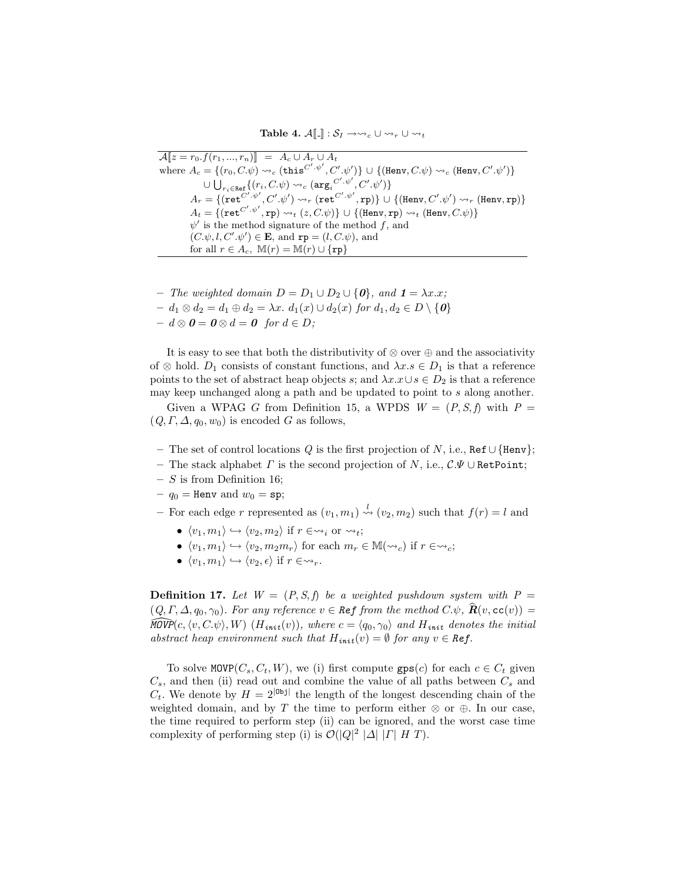$\overline{\mathcal{A}[[z] = r_0.f(r_1,...,r_n)]} = A_c \cup A_r \cup A_t$ where  $A_c = \{(r_0, C.\psi) \leadsto_c (\texttt{this}^{C', \psi'}, C'.\psi')\} \cup \{(\texttt{Henry}, C.\psi) \leadsto_c (\texttt{Henry}, C'.\psi')\}$  $\cup\ \bigcup_{r_i\in \mathtt{Ref}}\{(r_i,C.\psi) \leadsto_c (\mathtt{arg}_i{}^{C',\psi'},C'.\psi')\}$  $A_r = \{(\texttt{ret}^{C',\psi'},C'.\psi') \leadsto_r (\texttt{ret}^{C',\psi'},\texttt{rp})\} \cup \{(\texttt{Henv},C'.\psi') \leadsto_r (\texttt{Henv},\texttt{rp})\}$  $A_t = \{(\texttt{ret}^{C', \psi'}, \texttt{rp}) \leadsto_t (z, C.\psi)\} \cup \{(\texttt{Henv}, \texttt{rp}) \leadsto_t (\texttt{Henv}, C.\psi)\}$  $\psi'$  is the method signature of the method f, and  $(C.\psi, l, C'.\psi') \in \mathbf{E}$ , and  $\mathbf{rp} = (l, C.\psi)$ , and for all  $r \in A_c$ ,  $\mathbb{M}(r) = \mathbb{M}(r) \cup \{rp\}$ 

- The weighted domain D = D<sub>1</sub> ∪ D<sub>2</sub> ∪ {0}, and **1** =  $\lambda x.x$ ;
- $d_1 ⊗ d_2 = d_1 ⊕ d_2 = \lambda x. d_1(x) ∪ d_2(x) for d_1, d_2 ∈ D \setminus \{0\}$
- $-d \otimes 0 = 0 \otimes d = 0$  for  $d \in D$ ;

It is easy to see that both the distributivity of  $\otimes$  over  $\oplus$  and the associativity of ⊗ hold.  $D_1$  consists of constant functions, and  $\lambda x.s \in D_1$  is that a reference points to the set of abstract heap objects s; and  $\lambda x.x\cup s \in D_2$  is that a reference may keep unchanged along a path and be updated to point to s along another.

Given a WPAG G from Definition 15, a WPDS  $W = (P, S, f)$  with  $P =$  $(Q, \Gamma, \Delta, q_0, w_0)$  is encoded G as follows,

- The set of control locations Q is the first projection of N, i.e., Ref∪{Henv};
- The stack alphabet  $\Gamma$  is the second projection of N, i.e.,  $\mathcal{C}.\Psi \cup \text{RetPoint}$ ;
- $S$  is from Definition 16;
- $q_0$  = Henv and  $w_0$  = sp;

- For each edge r represented as  $(v_1, m_1) \stackrel{l}{\rightsquigarrow} (v_2, m_2)$  such that  $f(r) = l$  and

- $\langle v_1, m_1 \rangle \hookrightarrow \langle v_2, m_2 \rangle$  if  $r \in \leadsto_i$  or  $\leadsto_i$ ;
- $\langle v_1, m_1 \rangle \hookrightarrow \langle v_2, m_2 m_r \rangle$  for each  $m_r \in \mathbb{M}(\rightsquigarrow_c)$  if  $r \in \rightsquigarrow_c$ ;
- $\langle v_1, m_1 \rangle \hookrightarrow \langle v_2, \epsilon \rangle$  if  $r \in \leadsto_r$ .

**Definition 17.** Let  $W = (P, S, f)$  be a weighted pushdown system with  $P =$  $(Q, \Gamma, \Delta, q_0, \gamma_0)$ . For any reference  $v \in \text{Ref from the method } C.\psi, \ \hat{\mathbf{R}}(v, \mathbf{cc}(v)) =$  $\widehat{MOP}(c,\langle v, C.\psi \rangle, W)$   $(H_{init}(v))$ , where  $c = \langle q_0, \gamma_0 \rangle$  and  $H_{init}$  denotes the initial abstract heap environment such that  $H_{init}(v) = \emptyset$  for any  $v \in \text{Ref.}$ 

To solve MOVP( $C_s, C_t, W$ ), we (i) first compute gps(c) for each  $c \in C_t$  given  $C_s$ , and then (ii) read out and combine the value of all paths between  $C_s$  and  $C_t$ . We denote by  $H = 2^{|0b_j|}$  the length of the longest descending chain of the weighted domain, and by T the time to perform either  $\otimes$  or  $\oplus$ . In our case, the time required to perform step (ii) can be ignored, and the worst case time complexity of performing step (i) is  $\mathcal{O}(|Q|^2 | \Delta | | \Gamma | H T)$ .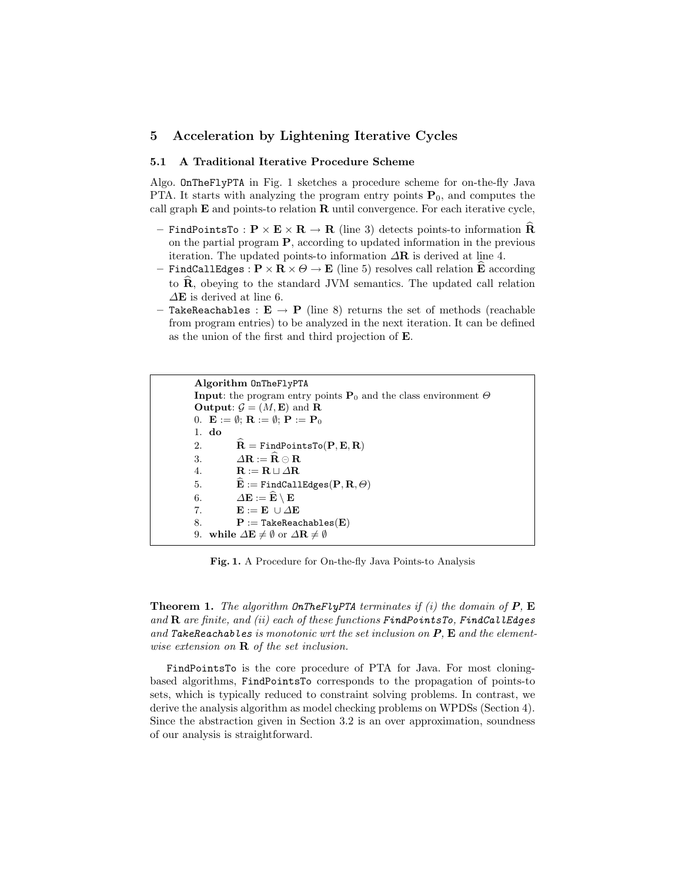# 5 Acceleration by Lightening Iterative Cycles

#### 5.1 A Traditional Iterative Procedure Scheme

Algo. OnTheFlyPTA in Fig. 1 sketches a procedure scheme for on-the-fly Java PTA. It starts with analyzing the program entry points  $P_0$ , and computes the call graph  $E$  and points-to relation  $R$  until convergence. For each iterative cycle,

- FindPointsTo :  $P \times E \times R \rightarrow R$  (line 3) detects points-to information R on the partial program  $\mathbf{P}$ , according to updated information in the previous iteration. The updated points-to information  $\Delta \mathbf{R}$  is derived at line 4.
- FindCallEdges:  $P \times R \times \Theta \rightarrow E$  (line 5) resolves call relation E according to  $\hat{\mathbf{R}}$ , obeying to the standard JVM semantics. The updated call relation  $\Delta E$  is derived at line 6.
- TakeReachables :  $E \rightarrow P$  (line 8) returns the set of methods (reachable from program entries) to be analyzed in the next iteration. It can be defined as the union of the first and third projection of E.

|       | Algorithm OnTheFlyPTA                                                             |  |  |  |  |  |
|-------|-----------------------------------------------------------------------------------|--|--|--|--|--|
|       | <b>Input:</b> the program entry points $P_0$ and the class environment $\Theta$   |  |  |  |  |  |
|       | <b>Output:</b> $\mathcal{G} = (M, \mathbf{E})$ and <b>R</b>                       |  |  |  |  |  |
|       | 0. $\mathbf{E} := \emptyset; \mathbf{R} := \emptyset; \mathbf{P} := \mathbf{P}_0$ |  |  |  |  |  |
| 1. do |                                                                                   |  |  |  |  |  |
| 2.    | $\hat{\mathbf{R}} =$ FindPointsTo(P, E, R)                                        |  |  |  |  |  |
|       | 3. $\Delta \mathbf{R} := \widehat{\mathbf{R}} \oplus \mathbf{R}$                  |  |  |  |  |  |
| 4.    | $\mathbf{R} := \mathbf{R} \sqcup \Delta \mathbf{R}$                               |  |  |  |  |  |
| 5.    | $\hat{\mathbf{E}} :=$ FindCallEdges(P, R, $\Theta$ )                              |  |  |  |  |  |
| 6.    | $\varDelta \mathbf{E} := \mathbf{\widehat{E}} \setminus \mathbf{E}$               |  |  |  |  |  |
| 7.    | $\mathbf{E} := \mathbf{E} \cup \Delta \mathbf{E}$                                 |  |  |  |  |  |
| 8.    | $\mathbf{P} := \texttt{TakeReachables}(\mathbf{E})$                               |  |  |  |  |  |
| 9.    | while $\Delta E \neq \emptyset$ or $\Delta R \neq \emptyset$                      |  |  |  |  |  |

Fig. 1. A Procedure for On-the-fly Java Points-to Analysis

**Theorem 1.** The algorithm **OnTheFlyPTA** terminates if (i) the domain of  $P$ ,  $E$ and  $\bf R$  are finite, and (ii) each of these functions  $\bf FindPointsTo$ ,  $\bf FindCalLE }$ des and TakeReachables is monotonic wrt the set inclusion on  $P$ ,  $E$  and the elementwise extension on **R** of the set inclusion.

FindPointsTo is the core procedure of PTA for Java. For most cloningbased algorithms, FindPointsTo corresponds to the propagation of points-to sets, which is typically reduced to constraint solving problems. In contrast, we derive the analysis algorithm as model checking problems on WPDSs (Section 4). Since the abstraction given in Section 3.2 is an over approximation, soundness of our analysis is straightforward.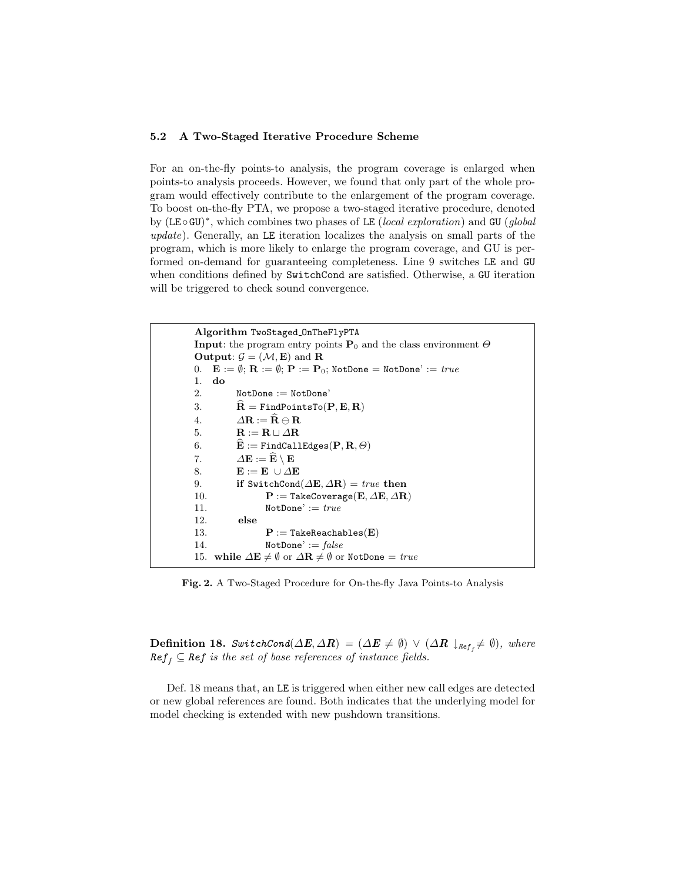#### 5.2 A Two-Staged Iterative Procedure Scheme

For an on-the-fly points-to analysis, the program coverage is enlarged when points-to analysis proceeds. However, we found that only part of the whole program would effectively contribute to the enlargement of the program coverage. To boost on-the-fly PTA, we propose a two-staged iterative procedure, denoted by (LE∘GU)<sup>\*</sup>, which combines two phases of LE (*local exploration*) and GU (*global* update). Generally, an LE iteration localizes the analysis on small parts of the program, which is more likely to enlarge the program coverage, and GU is performed on-demand for guaranteeing completeness. Line 9 switches LE and GU when conditions defined by SwitchCond are satisfied. Otherwise, a GU iteration will be triggered to check sound convergence.



Fig. 2. A Two-Staged Procedure for On-the-fly Java Points-to Analysis

 $\textbf{Definition 18.} \ \textit{SwitchCond}(\varDelta E,\varDelta R) \ = \ (\varDelta E \neq \emptyset) \ \lor \ (\varDelta R \ \downarrow_{\mathit{Ref}_f} \neq \emptyset), \ \textit{where}$  $Ref_f \subseteq Ref$  is the set of base references of instance fields.

Def. 18 means that, an LE is triggered when either new call edges are detected or new global references are found. Both indicates that the underlying model for model checking is extended with new pushdown transitions.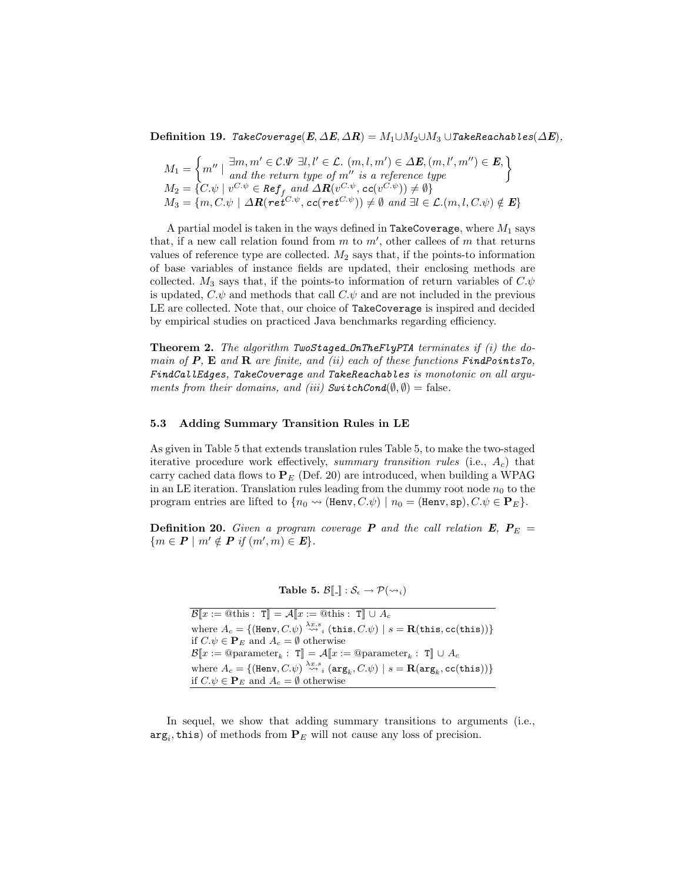Definition 19. TakeCoverage(E,  $\Delta E$ ,  $\Delta R$ ) =  $M_1 \cup M_2 \cup M_3 \cup$ TakeReachables( $\Delta E$ ),

$$
M_1 = \left\{ m'' \mid \frac{\exists m, m' \in C.\Psi \exists l, l' \in \mathcal{L}. (m, l, m') \in \Delta \mathbf{E}, (m, l', m'') \in \mathbf{E},}{and the return type of m'' is a reference type} \right\}
$$
  
\n
$$
M_2 = \left\{ C.\psi \mid v^{C.\psi} \in \mathbf{Ref}_f \text{ and } \Delta \mathbf{R}(v^{C.\psi}, \mathbf{cc}(v^{C.\psi})) \neq \emptyset \right\}
$$
  
\n
$$
M_3 = \left\{ m, C.\psi \mid \Delta \mathbf{R}(ret^{C.\psi}, \mathbf{cc}(ret^{C.\psi})) \neq \emptyset \text{ and } \exists l \in \mathcal{L}. (m, l, C.\psi) \notin \mathbf{E} \right\}
$$

A partial model is taken in the ways defined in TakeCoverage, where  $M_1$  says that, if a new call relation found from  $m$  to  $m'$ , other callees of  $m$  that returns values of reference type are collected.  $M_2$  says that, if the points-to information of base variables of instance fields are updated, their enclosing methods are collected.  $M_3$  says that, if the points-to information of return variables of  $C.\psi$ is updated,  $C.\psi$  and methods that call  $C.\psi$  and are not included in the previous LE are collected. Note that, our choice of TakeCoverage is inspired and decided by empirical studies on practiced Java benchmarks regarding efficiency.

Theorem 2. The algorithm TwoStaged\_OnTheFlyPTA terminates if (i) the domain of  $P$ ,  $E$  and  $R$  are finite, and (ii) each of these functions FindPointsTo, FindCallEdges, TakeCoverage and TakeReachables is monotonic on all arguments from their domains, and (iii)  $S$ witchCond( $\emptyset, \emptyset$ ) = false.

#### 5.3 Adding Summary Transition Rules in LE

As given in Table 5 that extends translation rules Table 5, to make the two-staged iterative procedure work effectively, summary transition rules (i.e.,  $A_c$ ) that carry cached data flows to  $P_E$  (Def. 20) are introduced, when building a WPAG in an LE iteration. Translation rules leading from the dummy root node  $n_0$  to the program entries are lifted to  $\{n_0 \leadsto (\text{Henv}, C.\psi) \mid n_0 = (\text{Henv}, \text{sp}), C.\psi \in \mathbf{P}_E\}.$ 

**Definition 20.** Given a program coverage **P** and the call relation **E**,  $P_E$  =  ${m \in P \mid m' \notin P \text{ if } (m',m) \in E}.$ 

Table 5.  $\mathcal{B}[\mathbb{I}]: \mathcal{S}_{\epsilon} \to \mathcal{P}(\rightsquigarrow_i)$ 

 $\boxed{\mathcal{B}\llbracket x := \text{@this}: \; \texttt{T}\rrbracket = \mathcal{A}\llbracket x := \text{@this}: \; \texttt{T}\rrbracket \cup A_c}$ where  $A_c = \{(\texttt{Henry}, C.\psi) \stackrel{\lambda x.s}{\leadsto i} (\texttt{this}, C.\psi) \mid s = \mathbf{R}(\texttt{this}, \texttt{cc}(\texttt{this}))\}$ if  $C.\psi \in \mathbf{P}_E$  and  $A_c = \emptyset$  otherwise  $\mathcal{B}[\![x := \textcircled{2} \textup{parameter}_k:\; \texttt{T}]\!] = \mathcal{A}[\![x := \textcircled{2} \textup{parameter}_k:\; \texttt{T}]\!] \cup A_c$ where  $A_c = \{(\texttt{Henry}, C.\psi) \stackrel{\lambda x.s}{\leadsto}{}_{i} (\texttt{arg}_k, C.\psi) \mid s = \mathbf{R}(\texttt{arg}_k, \texttt{cc(this)})\}$ if  $C.\psi \in \mathbf{P}_E$  and  $A_c = \emptyset$  otherwise

In sequel, we show that adding summary transitions to arguments (i.e.,  $arg_i$ , this) of methods from  $P_E$  will not cause any loss of precision.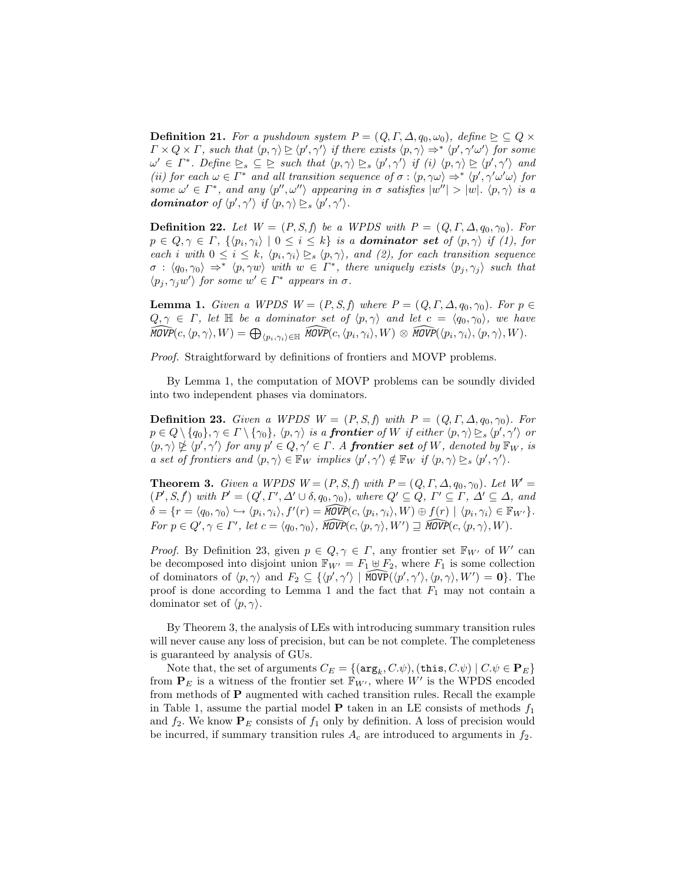**Definition 21.** For a pushdown system  $P = (Q, \Gamma, \Delta, q_0, \omega_0)$ , define  $\geq \subseteq Q \times$  $\Gamma \times Q \times \Gamma$ , such that  $\langle p, \gamma \rangle \subseteq \langle p', \gamma' \rangle$  if there exists  $\langle p, \gamma \rangle \Rightarrow^* \langle p', \gamma' \omega' \rangle$  for some  $\omega' \in \Gamma^*$ . Define  $\subseteq_s \subseteq \subseteq$  such that  $\langle p, \gamma \rangle \subseteq_s \langle p', \gamma' \rangle$  if  $(i) \langle p, \gamma \rangle \subseteq \langle p', \gamma' \rangle$  and (ii) for each  $\omega \in \Gamma^*$  and all transition sequence of  $\sigma : \langle p, \gamma \omega \rangle \Rightarrow^* \langle p', \gamma' \omega' \omega \rangle$  for some  $\omega' \in \Gamma^*$ , and any  $\langle p'', \omega'' \rangle$  appearing in  $\sigma$  satisfies  $|w''| > |w|$ .  $\langle p, \gamma \rangle$  is a dominator of  $\langle p', \gamma' \rangle$  if  $\langle p, \gamma \rangle \geq_s \langle p', \gamma' \rangle$ .

**Definition 22.** Let  $W = (P, S, f)$  be a WPDS with  $P = (Q, \Gamma, \Delta, q_0, \gamma_0)$ . For  $p \in Q, \gamma \in \Gamma$ ,  $\{\langle p_i, \gamma_i \rangle \mid 0 \le i \le k\}$  is a **dominator set** of  $\langle p, \gamma \rangle$  if (1), for each i with  $0 \leq i \leq k$ ,  $\langle p_i, \gamma_i \rangle \geq_s \langle p, \gamma \rangle$ , and (2), for each transition sequence  $\sigma : \langle q_0, \gamma_0 \rangle \Rightarrow^* \langle p, \gamma w \rangle$  with  $w \in \Gamma^*$ , there uniquely exists  $\langle p_j, \gamma_j \rangle$  such that  $\langle p_j, \gamma_j w' \rangle$  for some  $w' \in \Gamma^*$  appears in  $\sigma$ .

**Lemma 1.** Given a WPDS  $W = (P, S, f)$  where  $P = (Q, \Gamma, \Delta, q_0, \gamma_0)$ . For  $p \in$  $Q, \gamma \in \Gamma$ , let  $\mathbb H$  be a dominator set of  $\langle p, \gamma \rangle$  and let  $c = \langle q_0, \gamma_0 \rangle$ , we have  $\widehat{\textit{MOP}}(c,\langle p,\gamma\rangle,W)=\bigoplus_{\langle p_i,\gamma_i\rangle\in\mathbb{H}}\widehat{\textit{MOP}}(c,\langle p_i,\gamma_i\rangle,W)\otimes\widehat{\textit{MOPP}}(\langle p_i,\gamma_i\rangle,\langle p,\gamma\rangle,W).$ 

Proof. Straightforward by definitions of frontiers and MOVP problems.

By Lemma 1, the computation of MOVP problems can be soundly divided into two independent phases via dominators.

**Definition 23.** Given a WPDS  $W = (P, S, f)$  with  $P = (Q, \Gamma, \Delta, q_0, \gamma_0)$ . For  $p \in Q \setminus \{q_0\}, \gamma \in \Gamma \setminus \{\gamma_0\}, \, \langle p, \gamma \rangle$  is a **frontier** of W if either  $\langle p, \gamma \rangle \geq_s \langle p', \gamma' \rangle$  or  $\langle p, \gamma \rangle \nsubseteq \langle p', \gamma' \rangle$  for any  $p' \in Q, \gamma' \in \Gamma$ . A **frontier set** of W, denoted by  $\mathbb{F}_W$ , is a set of frontiers and  $\langle p, \gamma \rangle \in \mathbb{F}_W$  implies  $\langle p', \gamma' \rangle \notin \mathbb{F}_W$  if  $\langle p, \gamma \rangle \subseteq_s \langle p', \gamma' \rangle$ .

**Theorem 3.** Given a WPDS  $W = (P, S, f)$  with  $P = (Q, \Gamma, \Delta, q_0, \gamma_0)$ . Let  $W' =$  $(P', S, f)$  with  $P' = (Q', \Gamma', \Delta' \cup \delta, q_0, \gamma_0)$ , where  $Q' \subseteq Q$ ,  $\Gamma' \subseteq \Gamma$ ,  $\Delta' \subseteq \Delta$ , and  $\delta = \{r = \langle q_0, \gamma_0 \rangle \hookrightarrow \langle p_i, \gamma_i \rangle, f'(r) = \widehat{\textit{MOVP}}(c, \langle p_i, \gamma_i \rangle, W) \oplus f(r) \mid \langle p_i, \gamma_i \rangle \in \mathbb{F}_{W'}\}.$ For  $p \in Q', \gamma \in \Gamma'$ , let  $c = \langle q_0, \gamma_0 \rangle$ , MOVP $(c, \langle p, \gamma \rangle, W') \sqsupseteq \widetilde{MOP}(c, \langle p, \gamma \rangle, W)$ .

*Proof.* By Definition 23, given  $p \in Q, \gamma \in \Gamma$ , any frontier set  $\mathbb{F}_{W'}$  of W' can be decomposed into disjoint union  $\mathbb{F}_{W'} = F_1 \oplus F_2$ , where  $F_1$  is some collection of dominators of  $\langle p, \gamma \rangle$  and  $F_2 \subseteq \{ \langle p', \gamma' \rangle \mid \widehat{ \text{MOPP}(\langle p', \gamma' \rangle, \langle p, \gamma \rangle, W' \rangle = \mathbf{0} \}.$  The proof is done according to Lemma 1 and the fact that  $F_1$  may not contain a dominator set of  $\langle p, \gamma \rangle$ .

By Theorem 3, the analysis of LEs with introducing summary transition rules will never cause any loss of precision, but can be not complete. The completeness is guaranteed by analysis of GUs.

Note that, the set of arguments  $C_E = \{(\texttt{arg}_k, C.\psi), (\texttt{this}, C.\psi) \mid C.\psi \in \mathbf{P}_E\}$ from  $P_E$  is a witness of the frontier set  $\mathbb{F}_{W}$ , where W' is the WPDS encoded from methods of P augmented with cached transition rules. Recall the example in Table 1, assume the partial model **P** taken in an LE consists of methods  $f_1$ and  $f_2$ . We know  $P_E$  consists of  $f_1$  only by definition. A loss of precision would be incurred, if summary transition rules  $A_c$  are introduced to arguments in  $f_2$ .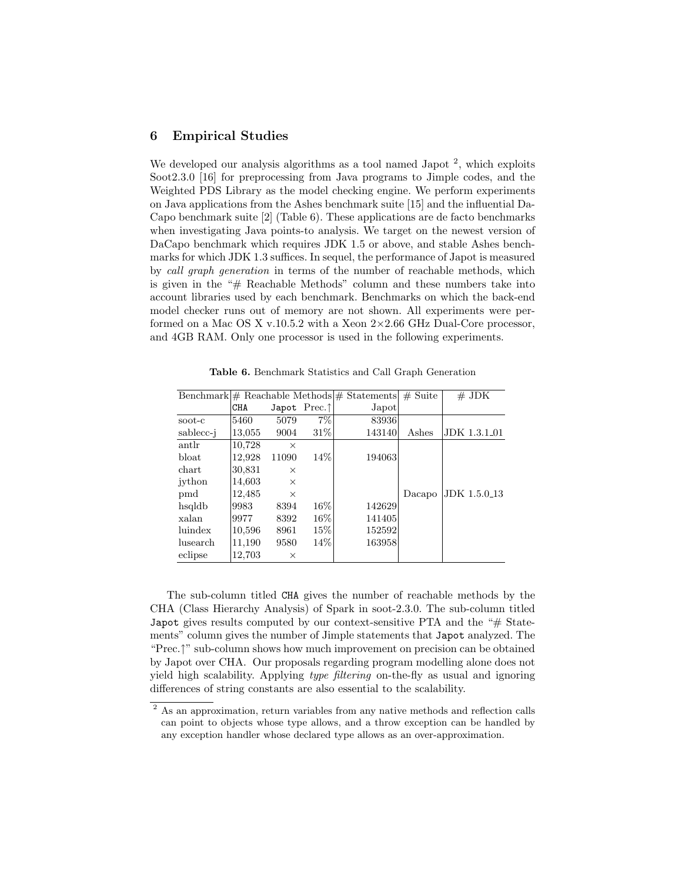## 6 Empirical Studies

We developed our analysis algorithms as a tool named Japot<sup>2</sup>, which exploits Soot2.3.0 [16] for preprocessing from Java programs to Jimple codes, and the Weighted PDS Library as the model checking engine. We perform experiments on Java applications from the Ashes benchmark suite [15] and the influential Da-Capo benchmark suite [2] (Table 6). These applications are de facto benchmarks when investigating Java points-to analysis. We target on the newest version of DaCapo benchmark which requires JDK 1.5 or above, and stable Ashes benchmarks for which JDK 1.3 suffices. In sequel, the performance of Japot is measured by call graph generation in terms of the number of reachable methods, which is given in the " $#$  Reachable Methods" column and these numbers take into account libraries used by each benchmark. Benchmarks on which the back-end model checker runs out of memory are not shown. All experiments were performed on a Mac OS X v.10.5.2 with a Xeon  $2\times2.66$  GHz Dual-Core processor, and 4GB RAM. Only one processor is used in the following experiments.

|           |        |          |                          | Benchmark # Reachable Methods # Statements | # Suite | $#$ JDK                  |
|-----------|--------|----------|--------------------------|--------------------------------------------|---------|--------------------------|
|           | CHA    |          | Japot Prec. <sup>1</sup> | Japot                                      |         |                          |
| soot-c    | 5460   | 5079     | $7\%$                    | 83936                                      |         |                          |
| sablecc-j | 13,055 | 9004     | $31\%$                   | 143140                                     | Ashes   | JDK 1.3.1_01             |
| antlr     | 10,728 | $\times$ |                          |                                            |         |                          |
| bloat     | 12,928 | 11090    | 14\%                     | 194063                                     |         |                          |
| chart     | 30,831 | $\times$ |                          |                                            |         |                          |
| jython    | 14,603 | X        |                          |                                            |         |                          |
| pmd       | 12,485 | $\times$ |                          |                                            | Dacapo  | JDK 1.5.0 <sub>-13</sub> |
| hsqldb    | 9983   | 8394     | $16\%$                   | 142629                                     |         |                          |
| xalan     | 9977   | 8392     | $16\%$                   | 141405                                     |         |                          |
| luindex   | 10,596 | 8961     | 15%                      | 152592                                     |         |                          |
| lusearch  | 11,190 | 9580     | 14\%                     | 163958                                     |         |                          |
| eclipse   | 12,703 | X        |                          |                                            |         |                          |

Table 6. Benchmark Statistics and Call Graph Generation

The sub-column titled CHA gives the number of reachable methods by the CHA (Class Hierarchy Analysis) of Spark in soot-2.3.0. The sub-column titled Japot gives results computed by our context-sensitive PTA and the "# Statements" column gives the number of Jimple statements that Japot analyzed. The "Prec.↑" sub-column shows how much improvement on precision can be obtained by Japot over CHA. Our proposals regarding program modelling alone does not yield high scalability. Applying type filtering on-the-fly as usual and ignoring differences of string constants are also essential to the scalability.

<sup>&</sup>lt;sup>2</sup> As an approximation, return variables from any native methods and reflection calls can point to objects whose type allows, and a throw exception can be handled by any exception handler whose declared type allows as an over-approximation.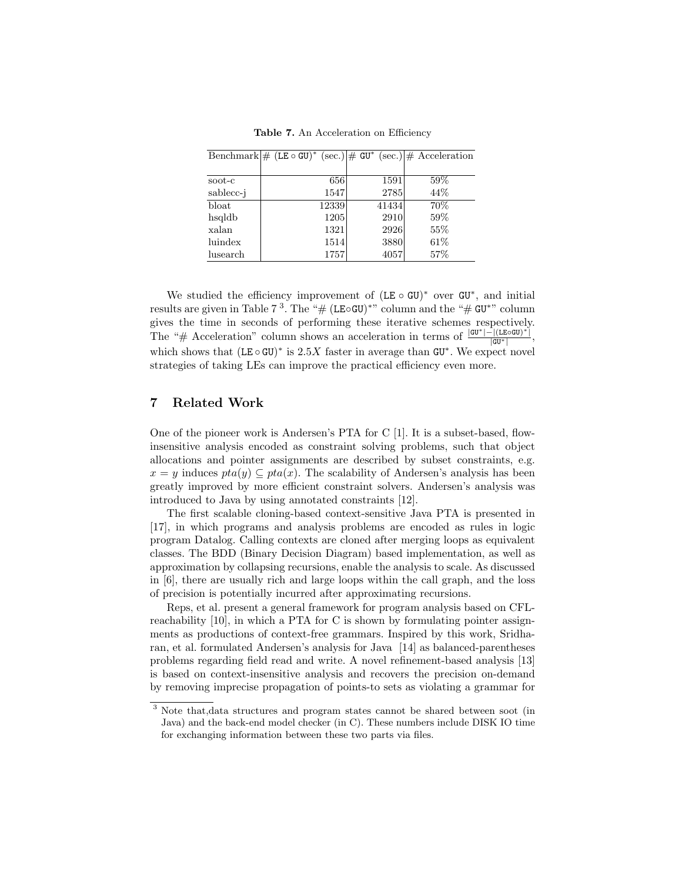|           | Benchmark $\#$ (LE $\circ$ GU) <sup>*</sup> (sec.) $\#$ GU <sup>*</sup> (sec.) $\#$ Acceleration |       |      |
|-----------|--------------------------------------------------------------------------------------------------|-------|------|
|           |                                                                                                  |       |      |
| soot-c    | 656                                                                                              | 1591  | 59%  |
| sablecc-i | 1547                                                                                             | 2785  | 44\% |
| bloat     | 12339                                                                                            | 41434 | 70%  |
| hsqldb    | 1205                                                                                             | 2910  | 59%  |
| xalan     | 1321                                                                                             | 2926  | 55%  |
| luindex   | 1514                                                                                             | 3880  | 61\% |
| lusearch  | 1757                                                                                             | 4057  | 57%  |

Table 7. An Acceleration on Efficiency

 $\frac{1}{2}$  Gu $\frac{1}{2}$   $\frac{1}{2}$   $\frac{1}{2}$   $\frac{1}{2}$   $\frac{1}{2}$   $\frac{1}{2}$   $\frac{1}{2}$   $\frac{1}{2}$   $\frac{1}{2}$   $\frac{1}{2}$   $\frac{1}{2}$   $\frac{1}{2}$   $\frac{1}{2}$   $\frac{1}{2}$   $\frac{1}{2}$   $\frac{1}{2}$   $\frac{1}{2}$   $\frac{1}{2}$   $\frac{1}{2}$   $\frac{1}{2}$   $\frac{1}{2}$ 

∗

We studied the efficiency improvement of  $(LE \circ GU)^*$  over  $GU^*$ , and initial results are given in Table 7<sup>3</sup>. The "# (LE∘GU)<sup>\*"</sup> column and the "# GU<sup>\*"</sup> column gives the time in seconds of performing these iterative schemes respectively. The "# Acceleration" column shows an acceleration in terms of  $\frac{|{\mathsf{GU}}^*| - |({\text{LEoGV}})^*|}{|{\mathsf{GU}}|}$ , which shows that  $(LE \circ GU)^*$  is 2.5X faster in average than  $GU^*$ . We expect novel strategies of taking LEs can improve the practical efficiency even more.

# 7 Related Work

One of the pioneer work is Andersen's PTA for C [1]. It is a subset-based, flowinsensitive analysis encoded as constraint solving problems, such that object allocations and pointer assignments are described by subset constraints, e.g.  $x = y$  induces  $pta(y) \subseteq pta(x)$ . The scalability of Andersen's analysis has been greatly improved by more efficient constraint solvers. Andersen's analysis was introduced to Java by using annotated constraints [12].

The first scalable cloning-based context-sensitive Java PTA is presented in [17], in which programs and analysis problems are encoded as rules in logic program Datalog. Calling contexts are cloned after merging loops as equivalent classes. The BDD (Binary Decision Diagram) based implementation, as well as approximation by collapsing recursions, enable the analysis to scale. As discussed in [6], there are usually rich and large loops within the call graph, and the loss of precision is potentially incurred after approximating recursions.

Reps, et al. present a general framework for program analysis based on CFLreachability [10], in which a PTA for C is shown by formulating pointer assignments as productions of context-free grammars. Inspired by this work, Sridharan, et al. formulated Andersen's analysis for Java [14] as balanced-parentheses problems regarding field read and write. A novel refinement-based analysis [13] is based on context-insensitive analysis and recovers the precision on-demand by removing imprecise propagation of points-to sets as violating a grammar for

<sup>3</sup> Note that,data structures and program states cannot be shared between soot (in Java) and the back-end model checker (in C). These numbers include DISK IO time for exchanging information between these two parts via files.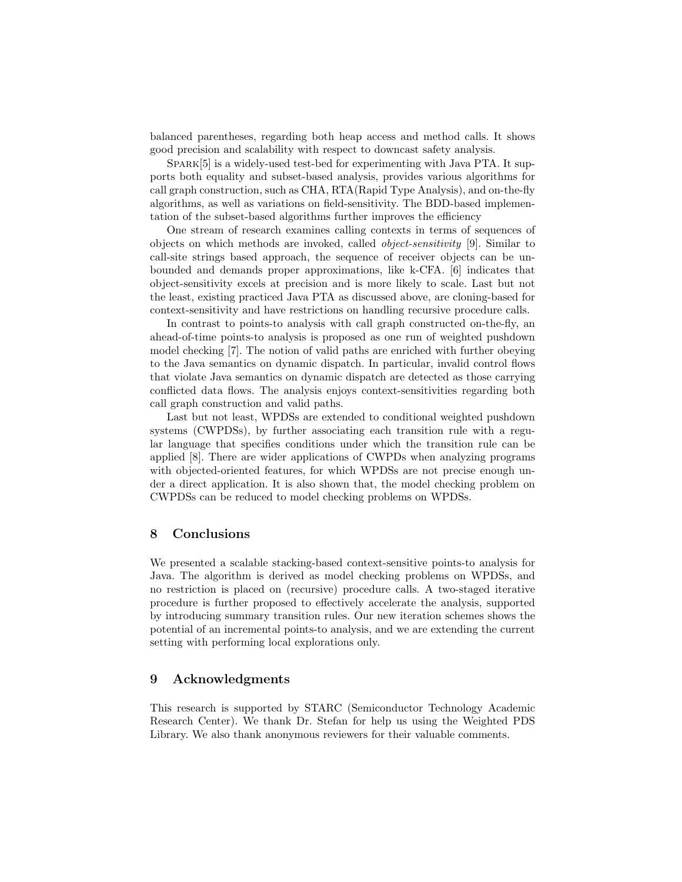balanced parentheses, regarding both heap access and method calls. It shows good precision and scalability with respect to downcast safety analysis.

SPARK<sup>[5]</sup> is a widely-used test-bed for experimenting with Java PTA. It supports both equality and subset-based analysis, provides various algorithms for call graph construction, such as CHA, RTA(Rapid Type Analysis), and on-the-fly algorithms, as well as variations on field-sensitivity. The BDD-based implementation of the subset-based algorithms further improves the efficiency

One stream of research examines calling contexts in terms of sequences of objects on which methods are invoked, called object-sensitivity [9]. Similar to call-site strings based approach, the sequence of receiver objects can be unbounded and demands proper approximations, like k-CFA. [6] indicates that object-sensitivity excels at precision and is more likely to scale. Last but not the least, existing practiced Java PTA as discussed above, are cloning-based for context-sensitivity and have restrictions on handling recursive procedure calls.

In contrast to points-to analysis with call graph constructed on-the-fly, an ahead-of-time points-to analysis is proposed as one run of weighted pushdown model checking [7]. The notion of valid paths are enriched with further obeying to the Java semantics on dynamic dispatch. In particular, invalid control flows that violate Java semantics on dynamic dispatch are detected as those carrying conflicted data flows. The analysis enjoys context-sensitivities regarding both call graph construction and valid paths.

Last but not least, WPDSs are extended to conditional weighted pushdown systems (CWPDSs), by further associating each transition rule with a regular language that specifies conditions under which the transition rule can be applied [8]. There are wider applications of CWPDs when analyzing programs with objected-oriented features, for which WPDSs are not precise enough under a direct application. It is also shown that, the model checking problem on CWPDSs can be reduced to model checking problems on WPDSs.

# 8 Conclusions

We presented a scalable stacking-based context-sensitive points-to analysis for Java. The algorithm is derived as model checking problems on WPDSs, and no restriction is placed on (recursive) procedure calls. A two-staged iterative procedure is further proposed to effectively accelerate the analysis, supported by introducing summary transition rules. Our new iteration schemes shows the potential of an incremental points-to analysis, and we are extending the current setting with performing local explorations only.

# 9 Acknowledgments

This research is supported by STARC (Semiconductor Technology Academic Research Center). We thank Dr. Stefan for help us using the Weighted PDS Library. We also thank anonymous reviewers for their valuable comments.